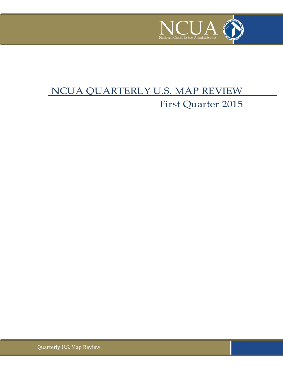

# NCUA QUARTERLY U.S. MAP REVIEW First Quarter 2015

Quarterly U.S. Map Review 1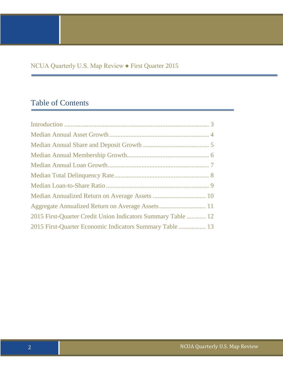### NCUA Quarterly U.S. Map Review ● First Quarter 2015

### Table of Contents

| 2015 First-Quarter Credit Union Indicators Summary Table  12 |
|--------------------------------------------------------------|
| 2015 First-Quarter Economic Indicators Summary Table 13      |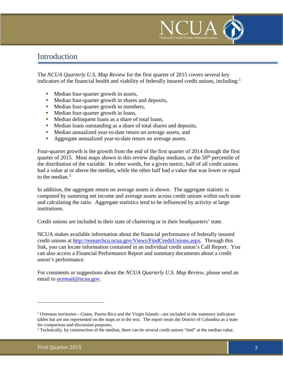

### <span id="page-2-0"></span>Introduction

The *NCUA Quarterly U.S. Map Review* for the first quarter of 2015 covers several key indicators of the financial health and viability of federally insured credit unions, including:<sup>[1](#page-2-1)</sup>

- Median four-quarter growth in assets,
- Median four-quarter growth in shares and deposits,
- Median four-quarter growth in members,
- Median four-quarter growth in loans,
- Median delinquent loans as a share of total loans,
- Median loans outstanding as a share of total shares and deposits,
- Median annualized year-to-date return on average assets, and
- Aggregate annualized year-to-date return on average assets.

Four-quarter growth is the growth from the end of the first quarter of 2014 through the first quarter of 2015. Most maps shown in this review display medians, or the  $50<sup>th</sup>$  percentile of the distribution of the variable. In other words, for a given metric, half of all credit unions had a value at or above the median, while the other half had a value that was lower or equal to the median. [2](#page-2-2)

In addition, the aggregate return on average assets is shown. The aggregate statistic is computed by summing net income and average assets across credit unions within each state and calculating the ratio. Aggregate statistics tend to be influenced by activity at large institutions.

Credit unions are included in their state of chartering or in their headquarters' state.

NCUA makes available information about the financial performance of federally insured credit unions at [http://researchcu.ncua.gov/Views/FindCreditUnions.aspx.](http://researchcu.ncua.gov/Views/FindCreditUnions.aspx) Through this link, you can locate information contained in an individual credit union's Call Report. You can also access a Financial Performance Report and summary documents about a credit union's performance.

For comments or suggestions about the *NCUA Quarterly U.S. Map Review*, please send an email to [ocemail@ncua.gov.](mailto:ocemail@ncua.gov)

i<br>I

<span id="page-2-1"></span><sup>&</sup>lt;sup>1</sup> Overseas territories—Guam, Puerto Rico and the Virgin Islands—are included in the summary indicators tables but are not represented on the maps or in the text. The report treats the District of Columbia as a state for comparison and discussion purposes.

<span id="page-2-2"></span><sup>2</sup> Technically, by construction of the median, there can be several credit unions "tied" at the median value.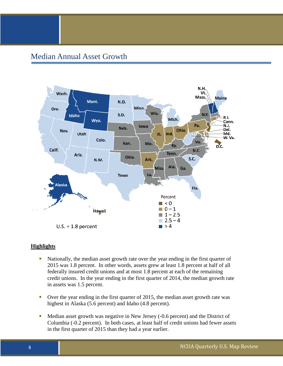#### <span id="page-3-0"></span>Median Annual Asset Growth



- Nationally, the median asset growth rate over the year ending in the first quarter of 2015 was 1.8 percent. In other words, assets grew at least 1.8 percent at half of all federally insured credit unions and at most 1.8 percent at each of the remaining credit unions. In the year ending in the first quarter of 2014, the median growth rate in assets was 1.5 percent.
- Over the year ending in the first quarter of 2015, the median asset growth rate was highest in Alaska (5.6 percent) and Idaho (4.8 percent).
- <span id="page-3-1"></span>• Median asset growth was negative in New Jersey (-0.6 percent) and the District of Columbia (-0.2 percent). In both cases, at least half of credit unions had fewer assets in the first quarter of 2015 than they had a year earlier.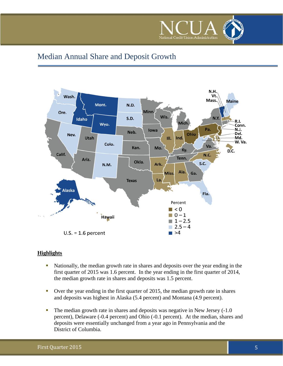

### Median Annual Share and Deposit Growth



- Nationally, the median growth rate in shares and deposits over the year ending in the first quarter of 2015 was 1.6 percent. In the year ending in the first quarter of 2014, the median growth rate in shares and deposits was 1.5 percent.
- Over the year ending in the first quarter of 2015, the median growth rate in shares and deposits was highest in Alaska (5.4 percent) and Montana (4.9 percent).
- The median growth rate in shares and deposits was negative in New Jersey (-1.0) percent), Delaware (-0.4 percent) and Ohio (-0.1 percent). At the median, shares and deposits were essentially unchanged from a year ago in Pennsylvania and the District of Columbia.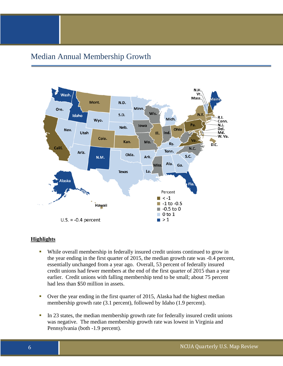#### <span id="page-5-0"></span>Median Annual Membership Growth



- While overall membership in federally insured credit unions continued to grow in the year ending in the first quarter of 2015, the median growth rate was -0.4 percent, essentially unchanged from a year ago. Overall, 53 percent of federally insured credit unions had fewer members at the end of the first quarter of 2015 than a year earlier. Credit unions with falling membership tend to be small; about 75 percent had less than \$50 million in assets.
- Over the year ending in the first quarter of 2015, Alaska had the highest median membership growth rate (3.1 percent), followed by Idaho (1.9 percent).
- In 23 states, the median membership growth rate for federally insured credit unions was negative. The median membership growth rate was lowest in Virginia and Pennsylvania (both -1.9 percent).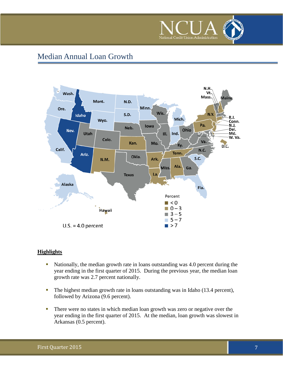

### <span id="page-6-0"></span>Median Annual Loan Growth



- Nationally, the median growth rate in loans outstanding was 4.0 percent during the year ending in the first quarter of 2015. During the previous year, the median loan growth rate was 2.7 percent nationally.
- The highest median growth rate in loans outstanding was in Idaho (13.4 percent), followed by Arizona (9.6 percent).
- There were no states in which median loan growth was zero or negative over the year ending in the first quarter of 2015. At the median, loan growth was slowest in Arkansas (0.5 percent).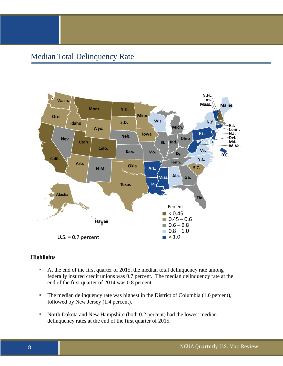### <span id="page-7-0"></span>Median Total Delinquency Rate



- At the end of the first quarter of 2015, the median total delinquency rate among federally insured credit unions was 0.7 percent. The median delinquency rate at the end of the first quarter of 2014 was 0.8 percent.
- The median delinquency rate was highest in the District of Columbia (1.6 percent), followed by New Jersey (1.4 percent).
- North Dakota and New Hampshire (both 0.2 percent) had the lowest median delinquency rates at the end of the first quarter of 2015.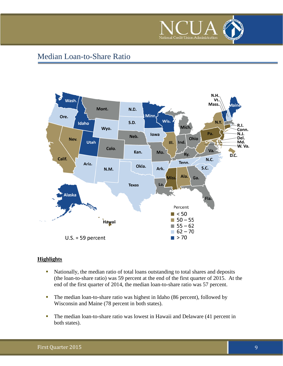

### <span id="page-8-0"></span>Median Loan-to-Share Ratio



- Nationally, the median ratio of total loans outstanding to total shares and deposits (the loan-to-share ratio) was 59 percent at the end of the first quarter of 2015. At the end of the first quarter of 2014, the median loan-to-share ratio was 57 percent.
- The median loan-to-share ratio was highest in Idaho (86 percent), followed by Wisconsin and Maine (78 percent in both states).
- The median loan-to-share ratio was lowest in Hawaii and Delaware (41 percent in both states).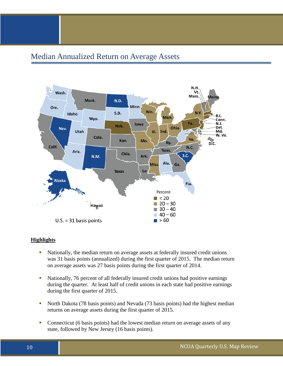#### <span id="page-9-0"></span>Median Annualized Return on Average Assets



- Nationally, the median return on average assets at federally insured credit unions was 31 basis points (annualized) during the first quarter of 2015. The median return on average assets was 27 basis points during the first quarter of 2014.
- Nationally, 76 percent of all federally insured credit unions had positive earnings during the quarter. At least half of credit unions in each state had positive earnings during the first quarter of 2015.
- North Dakota (78 basis points) and Nevada (73 basis points) had the highest median returns on average assets during the first quarter of 2015.
- Connecticut (6 basis points) had the lowest median return on average assets of any state, followed by New Jersey (16 basis points).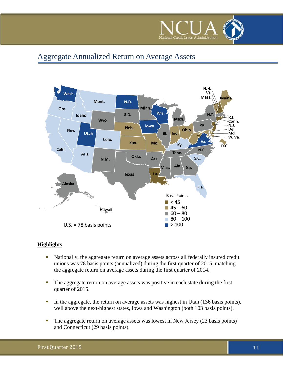

### <span id="page-10-0"></span>Aggregate Annualized Return on Average Assets



- Nationally, the aggregate return on average assets across all federally insured credit unions was 78 basis points (annualized) during the first quarter of 2015, matching the aggregate return on average assets during the first quarter of 2014.
- The aggregate return on average assets was positive in each state during the first quarter of 2015.
- In the aggregate, the return on average assets was highest in Utah (136 basis points), well above the next-highest states, Iowa and Washington (both 103 basis points).
- The aggregate return on average assets was lowest in New Jersey (23 basis points) and Connecticut (29 basis points).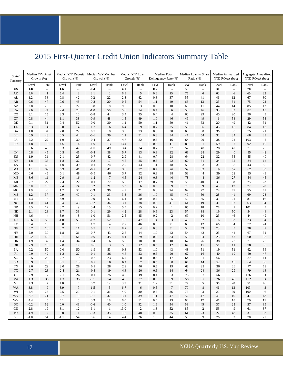# <span id="page-11-0"></span>2015 First-Quarter Credit Union Indicators Summary Table

| State/<br>Territory        | Median Y/Y Asset<br>Growth (%) |                | Growth (%)    |                | Median Y/Y Deposit   Median Y/Y Member<br>Growth (%) |                      | Median Y/Y Loan<br>Growth (%) |                  | Median Total<br>Delinquency Rate (%) |              | Median Loan to Share<br>Ratio (%) |                  | Median Annualized<br>YTD ROAA (bps) |                | Aggregate Annualized<br>YTD ROAA (bps) |                   |
|----------------------------|--------------------------------|----------------|---------------|----------------|------------------------------------------------------|----------------------|-------------------------------|------------------|--------------------------------------|--------------|-----------------------------------|------------------|-------------------------------------|----------------|----------------------------------------|-------------------|
|                            | Level                          | Rank           | Level         | Rank           | Level                                                | Rank                 | Level                         | Rank             | Level                                | Rank         | Level                             | Rank             | Level                               | Rank           | Level                                  | Rank              |
| $\boldsymbol{\mathrm{US}}$ | 1.8                            | ۰.             | 1.6           | ۰.             | $-0.4$                                               | ۰.                   | 4.0                           | ۰.               | 0.7                                  | ۰.           | 59                                |                  | 31                                  | ۰.             | 78                                     | ۰.                |
| AK                         | 5.6                            | $\mathbf{1}$   | 5.4           | $\overline{c}$ | 3.1                                                  | $\sqrt{2}$           | 6.8                           | $\sqrt{5}$       | 0.6                                  | 15           | $75\,$                            | 6                | 62                                  | 6              | 65                                     | 32                |
| AL                         | 1.2                            | 38             | 0.8           | 42             | 0.2                                                  | 22                   | 2.8                           | 42               | 0.8                                  | 37           | 55                                | 41               | 46                                  | 12             | 67                                     | 30                |
| AR                         | 0.6                            | 47             | 0.6           | 43             | 0.2                                                  | 20                   | 0.5                           | 54<br>3          | 1.1                                  | 49           | 68                                | 13               | 35                                  | 31             | 75                                     | $22\,$            |
| AZ<br>CA                   | 2.8<br>2.6                     | 20<br>24       | 2.1<br>2.4    | 27<br>23       | 0.8<br>$-1.0$                                        | $\,8\,$<br>50        | 9.6<br>5.6                    | 14               | 0.5<br>0.4                           | 10<br>6      | 68<br>53                          | 11<br>46         | 44<br>33                            | 14<br>33       | 85<br>82                               | 12<br>15          |
| CO                         | 3.1                            | 15             | 3.3           | 10             | $-0.8$                                               | 44                   | 3.4                           | 35               | 0.4                                  | 4            | 60                                | 29               | 40                                  | 20             | 96                                     | 9                 |
| ${\cal C}{\cal T}$         | 0.8                            | 44             | 1.1           | 38             | $-0.9$                                               | $48\,$               | 1.5                           | 49               | 1.0                                  | 46           | 49                                | 49               | 6                                   | 54             | 29                                     | 53                |
| $\rm DE$                   | 0.1                            | 51             | $-0.4$        | 52             | 0.0                                                  | $30\,$               | 1.1                           | 50               | 1.1                                  | 50           | 41                                | 53               | 20                                  | 49             | 42                                     | 51                |
| FL                         | 3.3                            | 14             | 3.0           | 14             | 1.3                                                  | 6                    | 6.4                           | $\overline{9}$   | 0.7                                  | 25           | 58                                | 36               | 43                                  | 15             | 84                                     | 13                |
| GA                         | 1.8                            | 34             | 2.0           | 29             | 0.7                                                  | 9                    | 3.6                           | 33               | 0.8                                  | 30           | 60                                | 30               | 36                                  | 30             | 75                                     | 21                |
| H                          | 0.9                            | 43             | 0.5           | 44             | $-0.6$                                               | 39                   | 1.1                           | 51               | 0.8                                  | 34           | 41                                | 54               | 32                                  | 34             | 68                                     | 29                |
| IA                         | 2.2                            | 27             | 1.9           | 30             | $-0.4$                                               | 37                   | 4.7                           | 22               | 0.6                                  | 16           | 64                                | 20               | 38                                  | 24             | 103                                    | $\sqrt{2}$        |
| $\rm I\!D$                 | 4.8                            | $\overline{3}$ | 4.6           | $\overline{4}$ | 1.9                                                  | $\mathfrak{Z}$       | 13.4                          | $\mathbf{1}$     | 0.5                                  | 11           | 86                                | $\mathbf{1}$     | 59                                  | $\overline{7}$ | 92                                     | $10\,$            |
| IL                         | 0.6                            | 48             | 0.3           | 47             | $-1.0$                                               | 49                   | 3.4                           | 34               | 0.7                                  | 27           | 52                                | 48               | 28                                  | 42             | 71                                     | 25                |
| ${\rm IN}$                 | 0.8                            | 45             | 0.5           | 45             | $-0.4$                                               | 38                   | 5.7                           | 13               | 0.8                                  | 32           | 61                                | 28               | 29                                  | 40             | 55                                     | 42                |
| KS                         | 1.9                            | 31             | 2.1           | 25             | $-0.7$                                               | 42                   | 2.9                           | 41               | 0.7                                  | 28           | 64                                | 22               | 32                                  | 35             | 55                                     | 40                |
| KY<br>LA                   | 1.8<br>1.1                     | 35<br>40       | 1.8<br>1.0    | 32<br>39       | 0.3<br>0.1                                           | $17\,$<br>24         | 4.5<br>2.7                    | 25<br>43         | 0.6<br>1.1                           | 22<br>48     | 60<br>59                          | 31<br>33         | 34<br>31                            | 32<br>36       | $\bf 84$<br>43                         | 14<br>50          |
| MA                         | 1.1                            | 39             | 0.9           | 41             | $-0.7$                                               | 41                   | 3.3                           | 37               | 0.7                                  | 26           | 59                                | 32               | 19                                  | 52             | 62                                     | 35                |
| MD                         | 0.6                            | 46             | 0.1           | 48             | $-0.9$                                               | 46                   | 3.7                           | 32               | 0.8                                  | 38           | 53                                | 44               | 39                                  | 22             | 55                                     | 43                |
| ME                         | 3.6                            | 11             | 2.9           | 16             | 1.2                                                  | $\boldsymbol{7}$     | 4.5                           | 24               | 0.8                                  | 40           | $78\,$                            | $\overline{4}$   | 36                                  | 27             | 54                                     | $45\,$            |
| MI                         | 2.7                            | 22             | 2.4           | 22             | 0.1                                                  | 27                   | 5.0                           | 17               | 0.7                                  | 29           | 56                                | 40               | 30                                  | 38             | 75                                     | 23                |
| MN                         | 3.0                            | 16             | 2.4           | 24             | 0.2                                                  | 21                   | 5.3                           | 16               | 0.5                                  | 9            | $70\,$                            | $\overline{9}$   | 43                                  | 17             | 77                                     | $20\,$            |
| MO                         | 1.9                            | 33             | 1.2           | 36             | $-0.3$                                               | 36                   | 4.7                           | 21               | 0.6                                  | 24           | 62                                | 27               | 24                                  | 45             | 55                                     | $41\,$            |
| MS                         | 1.2                            | 37             | 0.9           | 40             | $-0.1$                                               | 33                   | 3.3                           | 36               | 1.0                                  | 45           | 49                                | 50               | 28                                  | 41             | 69                                     | $28\,$            |
| MT                         | 4.3                            | 6              | 4.9           | $\mathfrak{Z}$ | $-0.9$                                               | 47                   | 6.4                           | 10               | 0.4                                  | 5            | 59                                | 35               | 39                                  | 21             | 81                                     | 16                |
| ${\rm NC}$                 | 1.0                            | 41             | 0.4           | 46             | $-0.2$                                               | 34                   | 3.1                           | 38               | 0.9                                  | 41           | 64                                | 19               | 31                                  | 37             | 63                                     | 34                |
| ND                         | 3.5                            | 12             | 3.7           | 9              | 0.4                                                  | 15                   | 5.5                           | 15               | 0.2                                  | $\mathbf{1}$ | 65                                | 18               | 78                                  | $\mathbf{1}$   | 101                                    | $\sqrt{5}$        |
| $\rm NE$                   | 2.1                            | 28             | 1.7           | 33             | 0.1                                                  | 29                   | 4.2                           | 28               | 0.6                                  | 23           | 57                                | 38               | 19                                  | 50             | 54                                     | $44\,$            |
| NH                         | 4.6                            | $\overline{4}$ | 3.9           | $\,$ 8 $\,$    | $-1.0$                                               | 51                   | 2.5                           | 45               | 0.2                                  | $\sqrt{2}$   | 69                                | 10               | 23                                  | 46             | 44                                     | 49                |
| NJ<br>NM                   | $-0.6$<br>3.4                  | 53<br>13       | $-1.0$<br>3.0 | 53<br>15       | $-1.7$<br>1.7                                        | 52<br>$\overline{4}$ | 1.9<br>2.2                    | 47<br>46         | 1.4<br>0.6                           | 53<br>21     | 46<br>68                          | 52<br>12         | 16<br>66                            | 53<br>4        | 23<br>72                               | 54<br>24          |
| NV                         | 3.7                            | $10\,$         | 3.2           | 11             | 0.7                                                  | 11                   | 8.2                           | $\overline{4}$   | 0.8                                  | 31           | 54                                | 43               | 73                                  | $\mathfrak{Z}$ | 98                                     | $7\phantom{.0}$   |
| NY                         | 2.0                            | 30             | 1.8           | 31             | $-0.7$                                               | 43                   | 2.6                           | 44               | 1.0                                  | 42           | 54                                | 42               | 25                                  | 44             | 67                                     | 31                |
| OH                         | 0.2                            | 49             | $-0.1$        | 51             | $-0.9$                                               | $45\,$               | 4.1                           | 29               | 0.8                                  | 33           | 59                                | 34               | 23                                  | $47\,$         | 60                                     | 38                |
| OK                         | 1.9                            | 32             | 1.4           | 34             | 0.4                                                  | 16                   | 5.0                           | 18               | 0.6                                  | 18           | 62                                | 26               | 38                                  | 23             | 71                                     | $26\,$            |
| ${\sf OR}$                 | 2.9                            | 18             | 2.8           | 17             | 0.6                                                  | 13                   | 5.8                           | 12               | 0.5                                  | 12           | 67                                | 15               | 51                                  | 11             | 98                                     | $\,8\,$           |
| PA                         | 0.2                            | 50             | 0.0           | 50             | $-1.9$                                               | 53                   | 0.8                           | 53               | 1.0                                  | 43           | 48                                | 51               | 19                                  | 51             | 62                                     | 36                |
| $\mathbf{R}\mathbf{I}$     | 0.9                            | 42             | 1.2           | 37             | 0.1                                                  | $26\,$               | 4.6                           | 23               | 0.6                                  | 20           | 67                                | 16               | 40                                  | 19             | $50\,$                                 | $47\,$            |
| SC                         | 2.5                            | 25             | 2.7           | 19             | 0.2                                                  | $23\,$               | 6.4                           | $\,8\,$          | 0.6                                  | 17           | 64                                | 21               | 66                                  | 5              | $87\,$                                 | 11                |
| ${\rm SD}$                 | 3.9                            | $\,$ 8 $\,$    | 3.1           | 13             | 0.7                                                  | $10\,$               | 6.4                           | $\boldsymbol{7}$ | 0.5                                  | 8            | 67                                | 14               | 52                                  | 10             | 64                                     | 33                |
| <b>TN</b>                  | 2.0                            | 29             | 2.0           | 28             | 0.1                                                  | $28\,$               | 2.9                           | 40               | $0.6\,$                              | 19           | 63                                | 25               | 36                                  | 26             | 77                                     | 19                |
| TX                         | 2.7                            | 23             | 2.4           | 21             | 0.3                                                  | 19                   | 4.8                           | 20               | 0.6                                  | 14           | 64                                | 24<br>$\tau$     | 36                                  | 29             | 79                                     | $1\,8$            |
| UT<br>VA                   | 2.9<br>1.3                     | 17<br>36       | 2.1<br>1.3    | 26<br>35       | 0.1<br>$-1.9$                                        | 25<br>54             | 4.8<br>4.3                    | 19<br>27         | 0.4<br>$\rm 0.8$                     | 3<br>39      | 75<br>58                          | 37               | 56<br>26                            | 8<br>43        | 136<br>102                             | $\mathbf{1}$<br>4 |
| VT                         | 4.3                            | $\tau$         | 4.0           | 6              | 0.7                                                  | 12                   | 3.9                           | 31               | 1.2                                  | 51           | 77                                | 5                | 36                                  | 28             | 51                                     | 46                |
| WA                         | 3.8                            | 9              | 3.9           | $\tau$         | 1.5                                                  | $\sqrt{5}$           | 6.7                           | 6                | 0.5                                  | $\tau$       | 70                                | $\,8\,$          | 46                                  | 13             | 103                                    | 3                 |
| WI                         | 2.4                            | 26             | 2.5           | 20             | $-0.1$                                               | 31                   | 4.0                           | 30               | 0.8                                  | 36           | 78                                | 3                | 29                                  | 39             | 100                                    | 6                 |
| WV                         | 2.7                            | 21             | 2.7           | 18             | $-0.1$                                               | 32                   | 3.1                           | 39               | 1.1                                  | 47           | 52                                | 47               | 43                                  | 16             | 47                                     | 48                |
| WY                         | 4.4                            | 5              | 4.1           | 5              | 0.3                                                  | 18                   | 6.0                           | 11               | 0.5                                  | 13           | 66                                | 17               | 41                                  | 18             | 79                                     | 17                |
| $_{\mathrm{DC}}$           | $-0.2$                         | 52             | 0.0           | 49             | $-0.6$                                               | 40                   | 1.0                           | 52               | 1.6                                  | 54           | 53                                | 45               | 37                                  | 25             | 57                                     | 39                |
| ${\rm GU}$                 | 2.8                            | 19             | 3.1           | 12             | 6.1                                                  | $\mathbf{1}$         | 13.0                          | $\overline{c}$   | 1.3                                  | 52           | 85                                | $\boldsymbol{2}$ | 53                                  | 9              | 61                                     | 37                |
| PR                         | 4.9                            | $\overline{c}$ | 5.8           | $\mathbf{1}$   | $-0.3$                                               | 35                   | 1.6                           | 48               | $0.8\,$                              | 35           | 64                                | 23               | 22                                  | 48             | 31                                     | 52                |
| VI                         | $-1.0$                         | 54             | $-1.1$        | 54             | 0.6                                                  | 14                   | 4.4                           | 26               | 1.0                                  | 44           | 56                                | 39               | 76                                  | $\sqrt{2}$     | 70                                     | 27                |